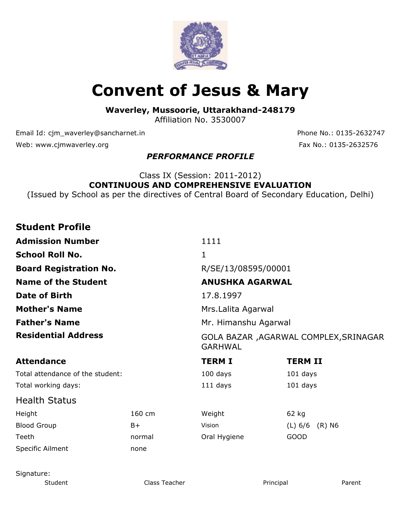

# **Convent of Jesus & Mary**

**Waverley, Mussoorie, Uttarakhand-248179**

Affiliation No. 3530007

Email Id: cjm\_waverley@sancharnet.in Phone No.: 0135-2632747 Web: www.cjmwaverley.org Fax No.: 0135-2632576

### *PERFORMANCE PROFILE*

### Class IX (Session: 2011-2012) **CONTINUOUS AND COMPREHENSIVE EVALUATION**

(Issued by School as per the directives of Central Board of Secondary Education, Delhi)

### **Student Profile**

| <b>Admission Number</b>          |                                                          | 1111                   |                     |  |  |  |
|----------------------------------|----------------------------------------------------------|------------------------|---------------------|--|--|--|
| <b>School Roll No.</b>           |                                                          | 1                      |                     |  |  |  |
| <b>Board Registration No.</b>    |                                                          | R/SE/13/08595/00001    |                     |  |  |  |
| <b>Name of the Student</b>       |                                                          | <b>ANUSHKA AGARWAL</b> |                     |  |  |  |
| <b>Date of Birth</b>             |                                                          | 17.8.1997              |                     |  |  |  |
| <b>Mother's Name</b>             | Mrs. Lalita Agarwal                                      |                        |                     |  |  |  |
| <b>Father's Name</b>             | Mr. Himanshu Agarwal                                     |                        |                     |  |  |  |
| <b>Residential Address</b>       | GOLA BAZAR , AGARWAL COMPLEX, SRINAGAR<br><b>GARHWAL</b> |                        |                     |  |  |  |
| <b>Attendance</b>                |                                                          | <b>TERM I</b>          | <b>TERM II</b>      |  |  |  |
| Total attendance of the student: |                                                          | $100$ days             | 101 days            |  |  |  |
| Total working days:              |                                                          | 111 days               | 101 days            |  |  |  |
| <b>Health Status</b>             |                                                          |                        |                     |  |  |  |
| Height                           | 160 cm                                                   | Weight                 | 62 kg               |  |  |  |
| <b>Blood Group</b>               | B+                                                       | Vision                 | (L) 6/6<br>$(R)$ N6 |  |  |  |
| Teeth                            | normal                                                   | Oral Hygiene           | <b>GOOD</b>         |  |  |  |
| Specific Ailment                 | none                                                     |                        |                     |  |  |  |

Signature: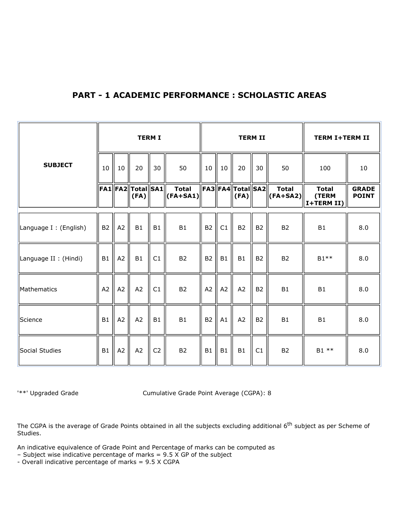#### **PART - 1 ACADEMIC PERFORMANCE : SCHOLASTIC AREAS**

|                        |                |    |                                | <b>TERM I</b>  |                                    |           |    |                               | <b>TERM II</b> |                                  | <b>TERM I+TERM II</b>                       |                              |
|------------------------|----------------|----|--------------------------------|----------------|------------------------------------|-----------|----|-------------------------------|----------------|----------------------------------|---------------------------------------------|------------------------------|
| <b>SUBJECT</b>         | 10             | 10 | 20                             | 30             | 50                                 | 10        | 10 | 20                            | 30             | 50                               | 100                                         | 10                           |
|                        |                |    | FA1  FA2  Total  SA1  <br>(FA) |                | <b>Total</b><br>$\ $ (FA+SA1) $\ $ |           |    | FA3  FA4  Total  SA2 <br>(FA) |                | <b>Total</b><br>$ $ (FA+SA2) $ $ | <b>Total</b><br>(TERM<br>$ $ I+TERM II) $ $ | <b>GRADE</b><br><b>POINT</b> |
| Language I : (English) | B <sub>2</sub> | A2 | B1                             | B1             | <b>B1</b>                          | <b>B2</b> | C1 | B <sub>2</sub>                | <b>B2</b>      | <b>B2</b>                        | <b>B1</b>                                   | 8.0                          |
| Language II : (Hindi)  | B1             | A2 | B1                             | C1             | <b>B2</b>                          | <b>B2</b> | B1 | B1                            | <b>B2</b>      | <b>B2</b>                        | $B1**$                                      | 8.0                          |
| Mathematics            | A2             | A2 | A2                             | C1             | B <sub>2</sub>                     | A2        | A2 | A <sub>2</sub>                | <b>B2</b>      | B1                               | B1                                          | 8.0                          |
| Science                | B1             | A2 | A2                             | B1             | B1                                 | <b>B2</b> | A1 | A2                            | <b>B2</b>      | <b>B1</b>                        | B1                                          | 8.0                          |
| Social Studies         | B1             | A2 | A2                             | C <sub>2</sub> | <b>B2</b>                          | B1        | B1 | <b>B1</b>                     | C1             | B <sub>2</sub>                   | B1 **                                       | 8.0                          |

'\*\*' Upgraded Grade Cumulative Grade Point Average (CGPA): 8

The CGPA is the average of Grade Points obtained in all the subjects excluding additional 6<sup>th</sup> subject as per Scheme of Studies.

An indicative equivalence of Grade Point and Percentage of marks can be computed as

– Subject wise indicative percentage of marks = 9.5 X GP of the subject

- Overall indicative percentage of marks = 9.5 X CGPA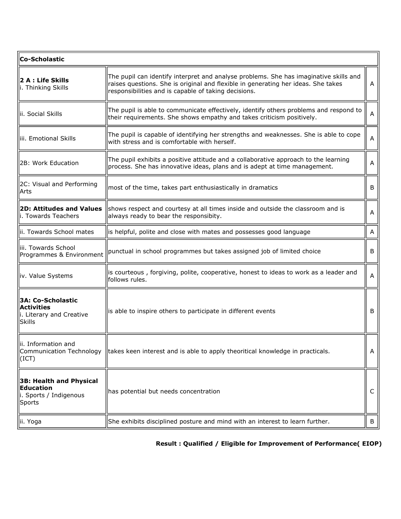| <b>Co-Scholastic</b>                                                                 |                                                                                                                                                                                                                                    |   |  |  |  |
|--------------------------------------------------------------------------------------|------------------------------------------------------------------------------------------------------------------------------------------------------------------------------------------------------------------------------------|---|--|--|--|
| 2 A : Life Skills<br>i. Thinking Skills                                              | The pupil can identify interpret and analyse problems. She has imaginative skills and<br>raises questions. She is original and flexible in generating her ideas. She takes<br>responsibilities and is capable of taking decisions. |   |  |  |  |
| llii. Social Skills                                                                  | The pupil is able to communicate effectively, identify others problems and respond to<br>their requirements. She shows empathy and takes criticism positively.                                                                     | Α |  |  |  |
| lliii. Emotional Skills                                                              | The pupil is capable of identifying her strengths and weaknesses. She is able to cope<br>with stress and is comfortable with herself.                                                                                              | Α |  |  |  |
| 2B: Work Education                                                                   | The pupil exhibits a positive attitude and a collaborative approach to the learning<br>process. She has innovative ideas, plans and is adept at time management.                                                                   | Α |  |  |  |
| 2C: Visual and Performing<br> Arts                                                   | most of the time, takes part enthusiastically in dramatics                                                                                                                                                                         | B |  |  |  |
| <b>2D: Attitudes and Values</b><br>li. Towards Teachers                              | shows respect and courtesy at all times inside and outside the classroom and is<br>always ready to bear the responsibity.                                                                                                          | A |  |  |  |
| lii. Towards School mates                                                            | is helpful, polite and close with mates and possesses good language                                                                                                                                                                | Α |  |  |  |
| lliii. Towards School<br>Programmes & Environment                                    | punctual in school programmes but takes assigned job of limited choice                                                                                                                                                             | B |  |  |  |
| liv. Value Systems                                                                   | is courteous, forgiving, polite, cooperative, honest to ideas to work as a leader and<br>follows rules.                                                                                                                            | Α |  |  |  |
| 3A: Co-Scholastic<br><b>Activities</b><br>i. Literary and Creative<br> Skills        | is able to inspire others to participate in different events                                                                                                                                                                       | B |  |  |  |
| llii. Information and<br>$ ({\rm ICT}) $                                             | Communication Technology   takes keen interest and is able to apply theoritical knowledge in practicals.                                                                                                                           | A |  |  |  |
| $\parallel$ 3B: Health and Physical<br>Education<br>i. Sports / Indigenous<br>Sports | has potential but needs concentration                                                                                                                                                                                              | C |  |  |  |
| llii. Yoga                                                                           | She exhibits disciplined posture and mind with an interest to learn further.                                                                                                                                                       | B |  |  |  |

## **Result : Qualified / Eligible for Improvement of Performance( EIOP)**